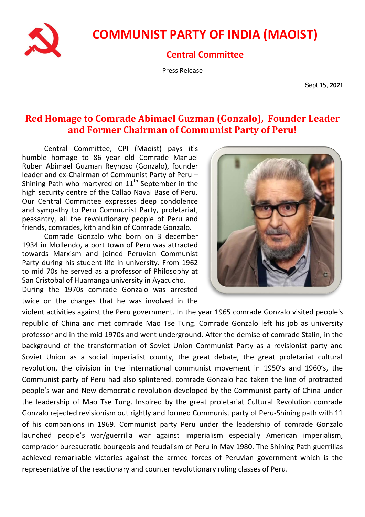

## **COMMUNIST PARTY OF INDIA (MAOIST)**

## **Central Committee**

Press Release

Sept 15, **202**1

## **Red Homage to Comrade Abimael Guzman (Gonzalo), Founder Leader and Former Chairman of Communist Party of Peru!**

Central Committee, CPI (Maoist) pays it's humble homage to 86 year old Comrade Manuel Ruben Abimael Guzman Reynoso (Gonzalo), founder leader and ex-Chairman of Communist Party of Peru – Shining Path who martyred on  $11<sup>th</sup>$  September in the high security centre of the Callao Naval Base of Peru. Our Central Committee expresses deep condolence and sympathy to Peru Communist Party, proletariat, peasantry, all the revolutionary people of Peru and friends, comrades, kith and kin of Comrade Gonzalo.

Comrade Gonzalo who born on 3 december 1934 in Mollendo, a port town of Peru was attracted towards Marxism and joined Peruvian Communist Party during his student life in university. From 1962 to mid 70s he served as a professor of Philosophy at San Cristobal of Huamanga university in Ayacucho. During the 1970s comrade Gonzalo was arrested

twice on the charges that he was involved in the

violent activities against the Peru government. In the year 1965 comrade Gonzalo visited people's republic of China and met comrade Mao Tse Tung. Comrade Gonzalo left his job as university professor and in the mid 1970s and went underground. After the demise of comrade Stalin, in the background of the transformation of Soviet Union Communist Party as a revisionist party and Soviet Union as a social imperialist county, the great debate, the great proletariat cultural revolution, the division in the international communist movement in 1950's and 1960's, the Communist party of Peru had also splintered. comrade Gonzalo had taken the line of protracted people's war and New democratic revolution developed by the Communist party of China under the leadership of Mao Tse Tung. Inspired by the great proletariat Cultural Revolution comrade Gonzalo rejected revisionism out rightly and formed Communist party of Peru-Shining path with 11 of his companions in 1969. Communist party Peru under the leadership of comrade Gonzalo launched people's war/guerrilla war against imperialism especially American imperialism, comprador bureaucratic bourgeois and feudalism of Peru in May 1980. The Shining Path guerrillas achieved remarkable victories against the armed forces of Peruvian government which is the representative of the reactionary and counter revolutionary ruling classes of Peru.

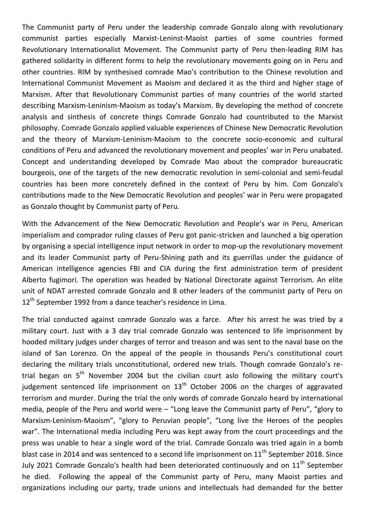The Communist party of Peru under the leadership comrade Gonzalo along with revolutionary communist parties especially Marxist-Leninst-Maoist parties of some countries formed Revolutionary Internationalist Movement. The Communist party of Peru then-leading RIM has gathered solidarity in different forms to help the revolutionary movements going on in Peru and other countries. RIM by synthesised comrade Mao's contribution to the Chinese revolution and International Communist Movement as Maoism and declared it as the third and higher stage of Marxism. After that Revolutionary Communist parties of many countries of the world started describing Marxism-Leninism-Maoism as today's Marxism. By developing the method of concrete analysis and sinthesis of concrete things Comrade Gonzalo had countributed to the Marxist philosophy. Comrade Gonzalo applied valuable experiences of Chinese New Democratic Revolution and the theory of Marxism-Leninism-Maoism to the concrete socio-economic and cultural conditions of Peru and advanced the revolutionary movement and peoples' war in Peru unabated. Concept and understanding developed by Comrade Mao about the comprador bureaucratic bourgeois, one of the targets of the new democratic revolution in semi-colonial and semi-feudal countries has been more concretely defined in the context of Peru by him. Com Gonzalo's contributions made to the New Democratic Revolution and peoples' war in Peru were propagated as Gonzalo thought by Communist party of Peru.

With the Advancement of the New Democratic Revolution and People's war in Peru, American imperialism and comprador ruling classes of Peru got panic-stricken and launched a big operation by organising a special intelligence input network in order to mop-up the revolutionary movement and its leader Communist party of Peru-Shining path and its guerrillas under the guidance of American intelligence agencies FBI and CIA during the first administration term of president Alberto fugimori. The operation was headed by National Directorate against Terrorism. An elite unit of NDAT arrested comrade Gonzalo and 8 other leaders of the communist party of Peru on 12<sup>th</sup> September 1992 from a dance teacher's residence in Lima.

The trial conducted against comrade Gonzalo was a farce. After his arrest he was tried by a military court. Just with a 3 day trial comrade Gonzalo was sentenced to life imprisonment by hooded military judges under charges of terror and treason and was sent to the naval base on the island of San Lorenzo. On the appeal of the people in thousands Peru's constitutional court declaring the military trials unconstitutional, ordered new trials. Though comrade Gonzalo's retrial began on  $5<sup>th</sup>$  November 2004 but the civilian court aslo following the military court's judgement sentenced life imprisonment on  $13<sup>th</sup>$  October 2006 on the charges of aggravated terrorism and murder. During the trial the only words of comrade Gonzalo heard by international media, people of the Peru and world were – "Long leave the Communist party of Peru", "glory to Marxism-Leninism-Maoism", "glory to Peruvian people", "Long live the Heroes of the peoples war". The International media including Peru was kept away from the court proceedings and the press was unable to hear a single word of the trial. Comrade Gonzalo was tried again in a bomb blast case in 2014 and was sentenced to a second life imprisonment on  $11<sup>th</sup>$  September 2018. Since July 2021 Comrade Gonzalo's health had been deteriorated continuously and on 11<sup>th</sup> September he died. Following the appeal of the Communist party of Peru, many Maoist parties and organizations including our party, trade unions and intellectuals had demanded for the better